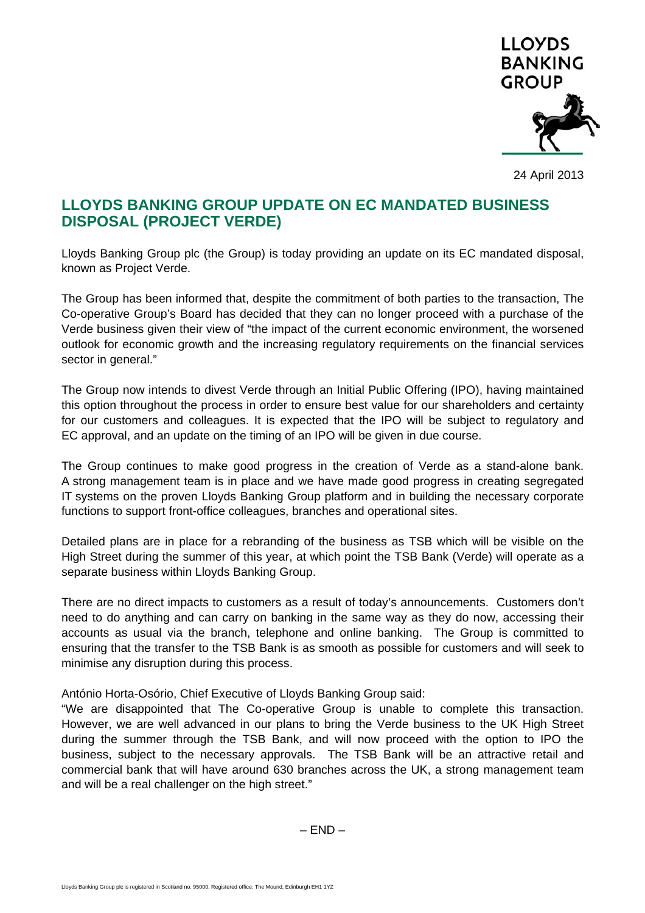

24 April 2013

# **LLOYDS BANKING GROUP UPDATE ON EC MANDATED BUSINESS DISPOSAL (PROJECT VERDE)**

Lloyds Banking Group plc (the Group) is today providing an update on its EC mandated disposal, known as Project Verde.

The Group has been informed that, despite the commitment of both parties to the transaction, The Co-operative Group's Board has decided that they can no longer proceed with a purchase of the Verde business given their view of "the impact of the current economic environment, the worsened outlook for economic growth and the increasing regulatory requirements on the financial services sector in general."

The Group now intends to divest Verde through an Initial Public Offering (IPO), having maintained this option throughout the process in order to ensure best value for our shareholders and certainty for our customers and colleagues. It is expected that the IPO will be subject to regulatory and EC approval, and an update on the timing of an IPO will be given in due course.

The Group continues to make good progress in the creation of Verde as a stand-alone bank. A strong management team is in place and we have made good progress in creating segregated IT systems on the proven Lloyds Banking Group platform and in building the necessary corporate functions to support front-office colleagues, branches and operational sites.

Detailed plans are in place for a rebranding of the business as TSB which will be visible on the High Street during the summer of this year, at which point the TSB Bank (Verde) will operate as a separate business within Lloyds Banking Group.

There are no direct impacts to customers as a result of today's announcements. Customers don't need to do anything and can carry on banking in the same way as they do now, accessing their accounts as usual via the branch, telephone and online banking. The Group is committed to ensuring that the transfer to the TSB Bank is as smooth as possible for customers and will seek to minimise any disruption during this process.

António Horta-Osório, Chief Executive of Lloyds Banking Group said:

"We are disappointed that The Co-operative Group is unable to complete this transaction. However, we are well advanced in our plans to bring the Verde business to the UK High Street during the summer through the TSB Bank, and will now proceed with the option to IPO the business, subject to the necessary approvals. The TSB Bank will be an attractive retail and commercial bank that will have around 630 branches across the UK, a strong management team and will be a real challenger on the high street."